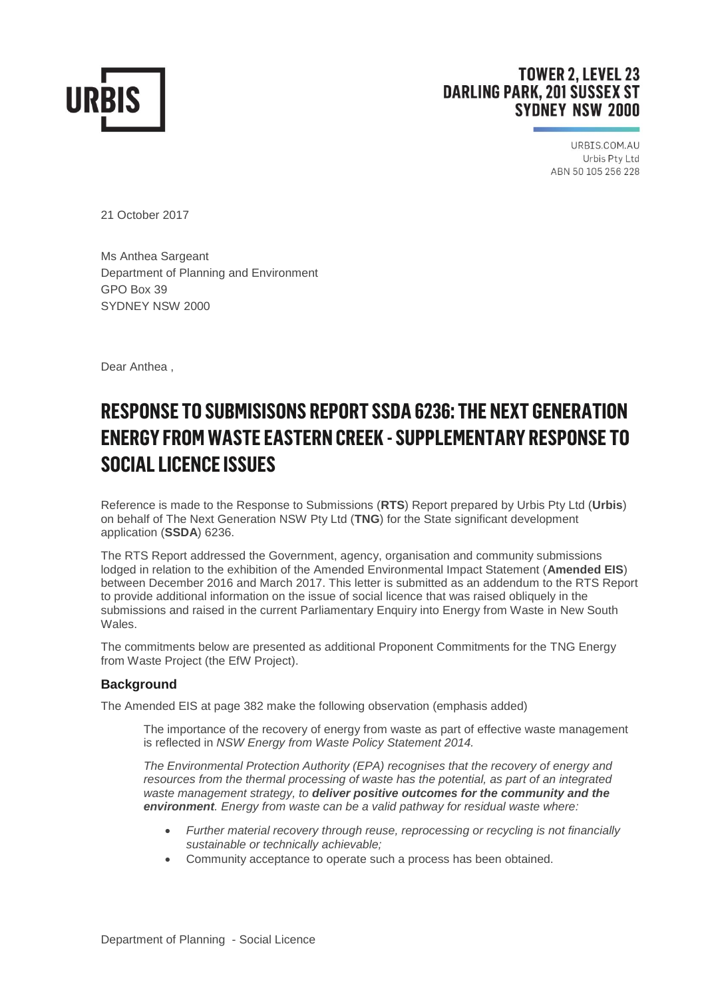

# **TOWER 2. LEVEL 23 DARLING PARK, 201 SUSSEX ST SYDNEY NSW 2000**

URBIS.COM.AU Urbis Pty Ltd ABN 50 105 256 228

21 October 2017

Ms Anthea Sargeant Department of Planning and Environment GPO Box 39 SYDNEY NSW 2000

Dear Anthea ,

# **RESPONSE TO SUBMISISONS REPORT SSDA 6236: THE NEXT GENERATION ENERGY FROM WASTE EASTERN CREEK - SUPPLEMENTARY RESPONSE TO SOCIAL LICENCE ISSUES**

Reference is made to the Response to Submissions (**RTS**) Report prepared by Urbis Pty Ltd (**Urbis**) on behalf of The Next Generation NSW Pty Ltd (**TNG**) for the State significant development application (**SSDA**) 6236.

The RTS Report addressed the Government, agency, organisation and community submissions lodged in relation to the exhibition of the Amended Environmental Impact Statement (**Amended EIS**) between December 2016 and March 2017. This letter is submitted as an addendum to the RTS Report to provide additional information on the issue of social licence that was raised obliquely in the submissions and raised in the current Parliamentary Enquiry into Energy from Waste in New South Wales.

The commitments below are presented as additional Proponent Commitments for the TNG Energy from Waste Project (the EfW Project).

## **Background**

The Amended EIS at page 382 make the following observation (emphasis added)

The importance of the recovery of energy from waste as part of effective waste management is reflected in *NSW Energy from Waste Policy Statement 2014.* 

*The Environmental Protection Authority (EPA) recognises that the recovery of energy and resources from the thermal processing of waste has the potential, as part of an integrated waste management strategy, to deliver positive outcomes for the community and the environment. Energy from waste can be a valid pathway for residual waste where:* 

- *Further material recovery through reuse, reprocessing or recycling is not financially sustainable or technically achievable;*
- Community acceptance to operate such a process has been obtained.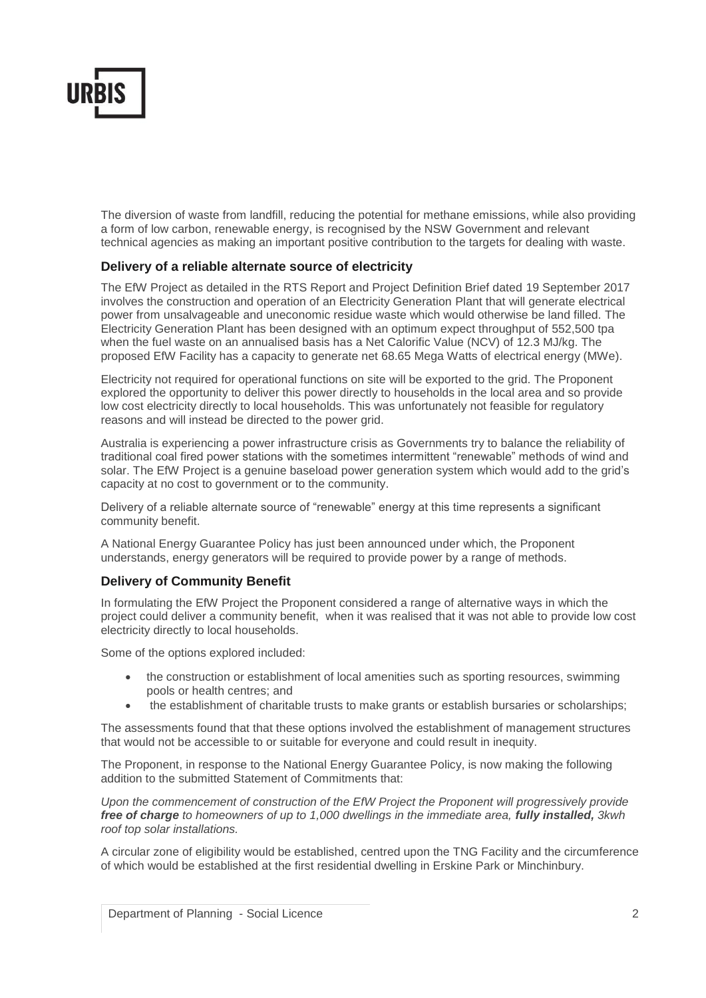

The diversion of waste from landfill, reducing the potential for methane emissions, while also providing a form of low carbon, renewable energy, is recognised by the NSW Government and relevant technical agencies as making an important positive contribution to the targets for dealing with waste.

### **Delivery of a reliable alternate source of electricity**

The EfW Project as detailed in the RTS Report and Project Definition Brief dated 19 September 2017 involves the construction and operation of an Electricity Generation Plant that will generate electrical power from unsalvageable and uneconomic residue waste which would otherwise be land filled. The Electricity Generation Plant has been designed with an optimum expect throughput of 552,500 tpa when the fuel waste on an annualised basis has a Net Calorific Value (NCV) of 12.3 MJ/kg. The proposed EfW Facility has a capacity to generate net 68.65 Mega Watts of electrical energy (MWe).

Electricity not required for operational functions on site will be exported to the grid. The Proponent explored the opportunity to deliver this power directly to households in the local area and so provide low cost electricity directly to local households. This was unfortunately not feasible for regulatory reasons and will instead be directed to the power grid.

Australia is experiencing a power infrastructure crisis as Governments try to balance the reliability of traditional coal fired power stations with the sometimes intermittent "renewable" methods of wind and solar. The EfW Project is a genuine baseload power generation system which would add to the grid's capacity at no cost to government or to the community.

Delivery of a reliable alternate source of "renewable" energy at this time represents a significant community benefit.

A National Energy Guarantee Policy has just been announced under which, the Proponent understands, energy generators will be required to provide power by a range of methods.

### **Delivery of Community Benefit**

In formulating the EfW Project the Proponent considered a range of alternative ways in which the project could deliver a community benefit, when it was realised that it was not able to provide low cost electricity directly to local households.

Some of the options explored included:

- the construction or establishment of local amenities such as sporting resources, swimming pools or health centres; and
- the establishment of charitable trusts to make grants or establish bursaries or scholarships;

The assessments found that that these options involved the establishment of management structures that would not be accessible to or suitable for everyone and could result in inequity.

The Proponent, in response to the National Energy Guarantee Policy, is now making the following addition to the submitted Statement of Commitments that:

*Upon the commencement of construction of the EfW Project the Proponent will progressively provide free of charge to homeowners of up to 1,000 dwellings in the immediate area, fully installed, 3kwh roof top solar installations.*

A circular zone of eligibility would be established, centred upon the TNG Facility and the circumference of which would be established at the first residential dwelling in Erskine Park or Minchinbury.